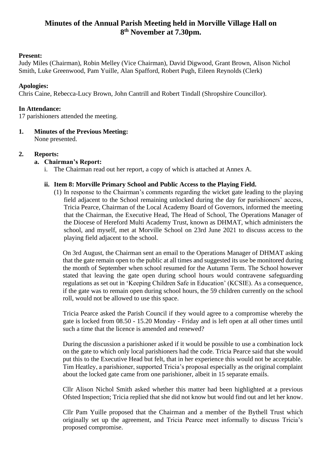# **Minutes of the Annual Parish Meeting held in Morville Village Hall on 8 th November at 7.30pm.**

# **Present:**

Judy Miles (Chairman), Robin Melley (Vice Chairman), David Digwood, Grant Brown, Alison Nichol Smith, Luke Greenwood, Pam Yuille, Alan Spafford, Robert Pugh, Eileen Reynolds (Clerk)

### **Apologies:**

Chris Caine, Rebecca-Lucy Brown, John Cantrill and Robert Tindall (Shropshire Councillor).

#### **In Attendance:**

17 parishioners attended the meeting.

### **1. Minutes of the Previous Meeting:**

None presented.

# **2. Reports:**

### **a. Chairman's Report:**

i. The Chairman read out her report, a copy of which is attached at Annex A.

### **ii. Item 8: Morville Primary School and Public Access to the Playing Field.**

(1) In response to the Chairman's comments regarding the wicket gate leading to the playing field adjacent to the School remaining unlocked during the day for parishioners' access, Tricia Pearce, Chairman of the Local Academy Board of Governors, informed the meeting that the Chairman, the Executive Head, The Head of School, The Operations Manager of the Diocese of Hereford Multi Academy Trust, known as DHMAT, which administers the school, and myself, met at Morville School on 23rd June 2021 to discuss access to the playing field adjacent to the school.

On 3rd August, the Chairman sent an email to the Operations Manager of DHMAT asking that the gate remain open to the public at all times and suggested its use be monitored during the month of September when school resumed for the Autumn Term. The School however stated that leaving the gate open during school hours would contravene safeguarding regulations as set out in 'Keeping Children Safe in Education' (KCSIE). As a consequence, if the gate was to remain open during school hours, the 59 children currently on the school roll, would not be allowed to use this space.

Tricia Pearce asked the Parish Council if they would agree to a compromise whereby the gate is locked from 08.50 - 15.20 Monday - Friday and is left open at all other times until such a time that the licence is amended and renewed?

During the discussion a parishioner asked if it would be possible to use a combination lock on the gate to which only local parishioners had the code. Tricia Pearce said that she would put this to the Executive Head but felt, that in her experience this would not be acceptable. Tim Heatley, a parishioner, supported Tricia's proposal especially as the original complaint about the locked gate came from one parishioner, albeit in 15 separate emails.

Cllr Alison Nichol Smith asked whether this matter had been highlighted at a previous Ofsted Inspection; Tricia replied that she did not know but would find out and let her know.

Cllr Pam Yuille proposed that the Chairman and a member of the Bythell Trust which originally set up the agreement, and Tricia Pearce meet informally to discuss Tricia's proposed compromise.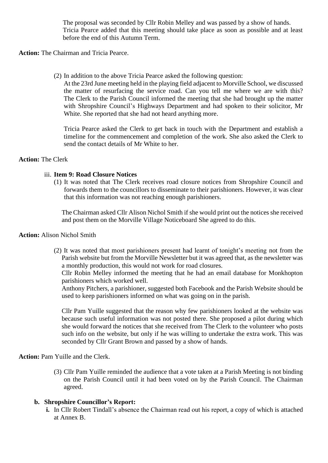The proposal was seconded by Cllr Robin Melley and was passed by a show of hands. Tricia Pearce added that this meeting should take place as soon as possible and at least before the end of this Autumn Term.

**Action:** The Chairman and Tricia Pearce.

(2) In addition to the above Tricia Pearce asked the following question:

At the 23rd June meeting held in the playing field adjacent to Morville School, we discussed the matter of resurfacing the service road. Can you tell me where we are with this? The Clerk to the Parish Council informed the meeting that she had brought up the matter with Shropshire Council's Highways Department and had spoken to their solicitor, Mr White. She reported that she had not heard anything more.

Tricia Pearce asked the Clerk to get back in touch with the Department and establish a timeline for the commencement and completion of the work. She also asked the Clerk to send the contact details of Mr White to her.

### **Action:** The Clerk

#### iii. **Item 9: Road Closure Notices**

(1) It was noted that The Clerk receives road closure notices from Shropshire Council and forwards them to the councillors to disseminate to their parishioners. However, it was clear that this information was not reaching enough parishioners.

The Chairman asked Cllr Alison Nichol Smith if she would print out the notices she received and post them on the Morville Village Noticeboard She agreed to do this.

### **Action:** Alison Nichol Smith

(2) It was noted that most parishioners present had learnt of tonight's meeting not from the Parish website but from the Morville Newsletter but it was agreed that, as the newsletter was a monthly production, this would not work for road closures.

Cllr Robin Melley informed the meeting that he had an email database for Monkhopton parishioners which worked well.

Anthony Pitchers, a parishioner, suggested both Facebook and the Parish Website should be used to keep parishioners informed on what was going on in the parish.

Cllr Pam Yuille suggested that the reason why few parishioners looked at the website was because such useful information was not posted there. She proposed a pilot during which she would forward the notices that she received from The Clerk to the volunteer who posts such info on the website, but only if he was willing to undertake the extra work. This was seconded by Cllr Grant Brown and passed by a show of hands.

**Action:** Pam Yuille and the Clerk.

(3) Cllr Pam Yuille reminded the audience that a vote taken at a Parish Meeting is not binding on the Parish Council until it had been voted on by the Parish Council. The Chairman agreed.

# **b. Shropshire Councillor's Report:**

**i.** In Cllr Robert Tindall's absence the Chairman read out his report, a copy of which is attached at Annex B.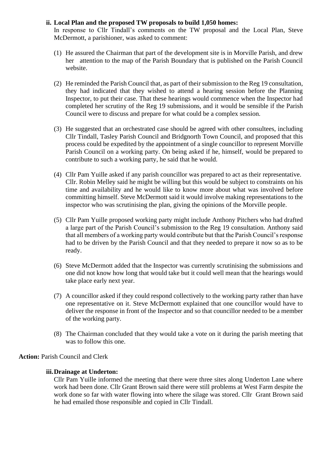### **ii. Local Plan and the proposed TW proposals to build 1,050 homes:**

In response to Cllr Tindall's comments on the TW proposal and the Local Plan, Steve McDermott, a parishioner, was asked to comment:

- (1) He assured the Chairman that part of the development site is in Morville Parish, and drew her attention to the map of the Parish Boundary that is published on the Parish Council website.
- (2) He reminded the Parish Council that, as part of their submission to the Reg 19 consultation, they had indicated that they wished to attend a hearing session before the Planning Inspector, to put their case. That these hearings would commence when the Inspector had completed her scrutiny of the Reg 19 submissions, and it would be sensible if the Parish Council were to discuss and prepare for what could be a complex session.
- (3) He suggested that an orchestrated case should be agreed with other consultees, including Cllr Tindall, Tasley Parish Council and Bridgnorth Town Council, and proposed that this process could be expedited by the appointment of a single councillor to represent Morville Parish Council on a working party. On being asked if he, himself, would be prepared to contribute to such a working party, he said that he would.
- (4) Cllr Pam Yuille asked if any parish councillor was prepared to act as their representative. Cllr. Robin Melley said he might be willing but this would be subject to constraints on his time and availability and he would like to know more about what was involved before committing himself. Steve McDermott said it would involve making representations to the inspector who was scrutinising the plan, giving the opinions of the Morville people.
- (5) Cllr Pam Yuille proposed working party might include Anthony Pitchers who had drafted a large part of the Parish Council's submission to the Reg 19 consultation. Anthony said that all members of a working party would contribute but that the Parish Council's response had to be driven by the Parish Council and that they needed to prepare it now so as to be ready.
- (6) Steve McDermott added that the Inspector was currently scrutinising the submissions and one did not know how long that would take but it could well mean that the hearings would take place early next year.
- (7) A councillor asked if they could respond collectively to the working party rather than have one representative on it. Steve McDermott explained that one councillor would have to deliver the response in front of the Inspector and so that councillor needed to be a member of the working party.
- (8) The Chairman concluded that they would take a vote on it during the parish meeting that was to follow this one.

**Action:** Parish Council and Clerk

#### **iii.Drainage at Underton:**

Cllr Pam Yuille informed the meeting that there were three sites along Underton Lane where work had been done. Cllr Grant Brown said there were still problems at West Farm despite the work done so far with water flowing into where the silage was stored. Cllr Grant Brown said he had emailed those responsible and copied in Cllr Tindall.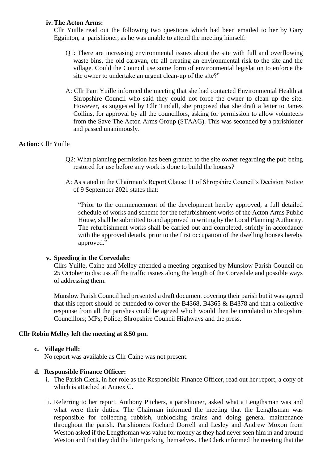#### **iv.The Acton Arms:**

Cllr Yuille read out the following two questions which had been emailed to her by Gary Egginton, a parishioner, as he was unable to attend the meeting himself:

- Q1: There are increasing environmental issues about the site with full and overflowing waste bins, the old caravan, etc all creating an environmental risk to the site and the village. Could the Council use some form of environmental legislation to enforce the site owner to undertake an urgent clean-up of the site?"
- A: Cllr Pam Yuille informed the meeting that she had contacted Environmental Health at Shropshire Council who said they could not force the owner to clean up the site. However, as suggested by Cllr Tindall, she proposed that she draft a letter to James Collins, for approval by all the councillors, asking for permission to allow volunteers from the Save The Acton Arms Group (STAAG). This was seconded by a parishioner and passed unanimously.

### **Action:** Cllr Yuille

- Q2: What planning permission has been granted to the site owner regarding the pub being restored for use before any work is done to build the houses?
- A: As stated in the Chairman's Report Clause 11 of Shropshire Council's Decision Notice of 9 September 2021 states that:

"Prior to the commencement of the development hereby approved, a full detailed schedule of works and scheme for the refurbishment works of the Acton Arms Public House, shall be submitted to and approved in writing by the Local Planning Authority. The refurbishment works shall be carried out and completed, strictly in accordance with the approved details, prior to the first occupation of the dwelling houses hereby approved."

#### **v. Speeding in the Corvedale:**

Cllrs Yuille, Caine and Melley attended a meeting organised by Munslow Parish Council on 25 October to discuss all the traffic issues along the length of the Corvedale and possible ways of addressing them.

Munslow Parish Council had presented a draft document covering their parish but it was agreed that this report should be extended to cover the B4368, B4365 & B4378 and that a collective response from all the parishes could be agreed which would then be circulated to Shropshire Councillors; MPs; Police; Shropshire Council Highways and the press.

#### **Cllr Robin Melley left the meeting at 8.50 pm.**

#### **c. Village Hall:**

No report was available as Cllr Caine was not present.

#### **d. Responsible Finance Officer:**

- i. The Parish Clerk, in her role as the Responsible Finance Officer, read out her report, a copy of which is attached at Annex C.
- ii. Referring to her report, Anthony Pitchers, a parishioner, asked what a Lengthsman was and what were their duties. The Chairman informed the meeting that the Lengthsman was responsible for collecting rubbish, unblocking drains and doing general maintenance throughout the parish. Parishioners Richard Dorrell and Lesley and Andrew Moxon from Weston asked if the Lengthsman was value for money as they had never seen him in and around Weston and that they did the litter picking themselves. The Clerk informed the meeting that the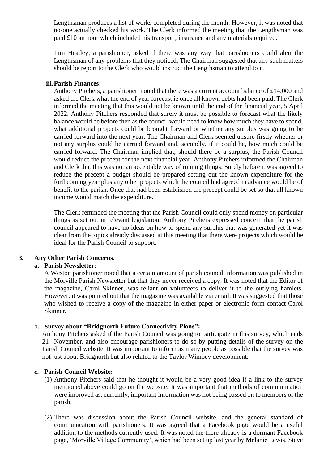Lengthsman produces a list of works completed during the month. However, it was noted that no-one actually checked his work. The Clerk informed the meeting that the Lengthsman was paid £10 an hour which included his transport, insurance and any materials required.

Tim Heatley, a parishioner, asked if there was any way that parishioners could alert the Lengthsman of any problems that they noticed. The Chairman suggested that any such matters should be report to the Clerk who would instruct the Lengthsman to attend to it.

#### **iii.Parish Finances:**

Anthony Pitchers, a parishioner, noted that there was a current account balance of £14,000 and asked the Clerk what the end of year forecast ie once all known debts had been paid. The Clerk informed the meeting that this would not be known until the end of the financial year, 5 April 2022. Anthony Pitchers responded that surely it must be possible to forecast what the likely balance would be before then as the council would need to know how much they have to spend, what additional projects could be brought forward or whether any surplus was going to be carried forward into the next year. The Chairman and Clerk seemed unsure firstly whether or not any surplus could be carried forward and, secondly, if it could be, how much could be carried forward. The Chairman implied that, should there be a surplus, the Parish Council would reduce the precept for the next financial year. Anthony Pitchers informed the Chairman and Clerk that this was not an acceptable way of running things. Surely before it was agreed to reduce the precept a budget should be prepared setting out the known expenditure for the forthcoming year plus any other projects which the council had agreed in advance would be of benefit to the parish. Once that had been established the precept could be set so that all known income would match the expenditure.

The Clerk reminded the meeting that the Parish Council could only spend money on particular things as set out in relevant legislation. Anthony Pitchers expressed concern that the parish council appeared to have no ideas on how to spend any surplus that was generated yet it was clear from the topics already discussed at this meeting that there were projects which would be ideal for the Parish Council to support.

#### **3. Any Other Parish Concerns.**

#### **a. Parish Newsletter:**

A Weston parishioner noted that a certain amount of parish council information was published in the Morville Parish Newsletter but that they never received a copy. It was noted that the Editor of the magazine, Carol Skinner, was reliant on volunteers to deliver it to the outlying hamlets. However, it was pointed out that the magazine was available via email. It was suggested that those who wished to receive a copy of the magazine in either paper or electronic form contact Carol Skinner.

#### b. **Survey about "Bridgnorth Future Connectivity Plans":**

Anthony Pitchers asked if the Parish Council was going to participate in this survey, which ends 21<sup>st</sup> November, and also encourage parishioners to do so by putting details of the survey on the Parish Council website. It was important to inform as many people as possible that the survey was not just about Bridgnorth but also related to the Taylor Wimpey development.

#### **c. Parish Council Website:**

- (1) Anthony Pitchers said that he thought it would be a very good idea if a link to the survey mentioned above could go on the website. It was important that methods of communication were improved as, currently, important information was not being passed on to members of the parish.
- (2) There was discussion about the Parish Council website, and the general standard of communication with parishioners. It was agreed that a Facebook page would be a useful addition to the methods currently used. It was noted the there already is a dormant Facebook page, 'Morville Village Community', which had been set up last year by Melanie Lewis. Steve